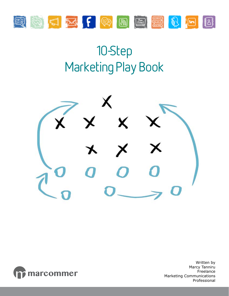

# 10-Step Marketing Play Book





Written by Marcy Tanniru Freelance Marketing Communications Professional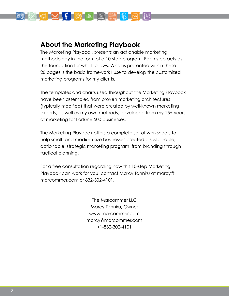

### **About the Marketing Playbook**

The Marketing Playbook presents an actionable marketing methodology in the form of a 10-step program. Each step acts as the foundation for what follows. What is presented within these 28 pages is the basic framework I use to develop the customized marketing programs for my clients.

The templates and charts used throughout the Marketing Playbook have been assembled from proven marketing architectures (typically modified) that were created by well-known marketing experts, as well as my own methods, developed from my 15+ years of marketing for Fortune 500 businesses.

The Marketing Playbook offers a complete set of worksheets to help small- and medium-size businesses created a sustainable, actionable, strategic marketing program, from branding through tactical planning.

For a free consultation regarding how this 10-step Marketing Playbook can work for you, contact Marcy Tanniru at marcy@ marcommer.com or 832-302-4101.

> The Marcommer LLC Marcy Tanniru, Owner www.marcommer.com marcy@marcommer.com +1-832-302-4101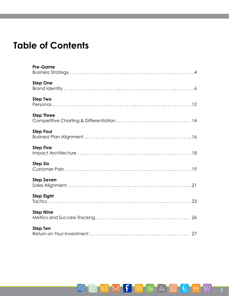## **Table of Contents**

| <b>Pre-Game</b>   |
|-------------------|
| <b>Step One</b>   |
| <b>Step Two</b>   |
| <b>Step Three</b> |
| <b>Step Four</b>  |
| <b>Step Five</b>  |
| <b>Step Six</b>   |
| <b>Step Seven</b> |
| <b>Step Eight</b> |
| <b>Step Nine</b>  |
| <b>Step Ten</b>   |

SCOFFC PORT SCOR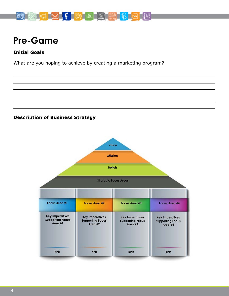

## **Pre-Game**

### **Initial Goals**

What are you hoping to achieve by creating a marketing program?

### **Description of Business Strategy**

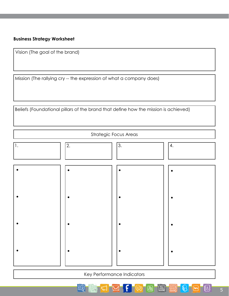### **Business Strategy Worksheet**

Vision (The goal of the brand)

Mission (The rallying cry -- the expression of what a company does)

Beliefs (Foundational pillars of the brand that define how the mission is achieved)

| <b>Strategic Focus Areas</b> |             |    |    |  |
|------------------------------|-------------|----|----|--|
| $ 1$ .                       | $\boxed{2}$ | 3. | 4. |  |
|                              |             |    |    |  |
|                              |             |    |    |  |
|                              |             |    |    |  |
|                              |             |    |    |  |

Key Performance Indicators

ß)

岡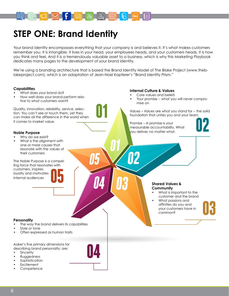

## **STEP ONE: Brand Identity**

Your brand identity encompasses everything that your company is and believes it. It's what makes customers remember you. It is intangible. It lives in your head, your employees heads, and your customers heads. It is how you think and feel. And it is a tremendously valuable asset to a business, which is why this Marketing Playbook dedicates many pages to the development of your brand identity.

We're using a branding architecture that is based the Brand Identity Model of The Blake Project (www.theblakeproject.com), which is an adaptation of Jean-Noel Kapferer's "Brand Identity Prism."

### **Capabilities**

- What does your brand do?
- How well does your brand perform relative to what customers want?

Quality, innovation, reliability, service, selection. You can't see or touch them, yet they can make all the difference in the world when it comes to market value.

- Why do we exist?
- What is the alignment with one or more causes that resonate with the values of their customers

The Noble Purpose is a compelling force that resonates with customers, inspires loyalty and motivates internal audiences

#### **Internal Culture & Values**

- Core values and beliefs
- Your promise -- what you will never compromise on

Values – Values are what you stand for -- the solid foundation that unites you and your team.

Promise – A promise is your measurable accountability. What **Noble Purpose** you deliver, no matter what.

#### **Shared Values & Community**

- What is important to the customer and the brand
- What passions and affinities do you and your customers have in common?

#### **Personality**

- The way the brand delivers its capabilities
- Style or tone
- Often expressed as human traits

Aaker's five primary dimensions for describing brand personality: are:

- **Sincerity**
- Ruggedness
- **Sophistication**
- **Excitement Competence**

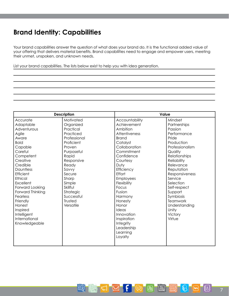### **Brand Identity: Capabilities**

Your brand capabilities answer the question of what does your brand do. It is the functional added value of your offering that delivers material benefits. Brand capabilities need to engage and empower users, meeting their unmet, unspoken, and unknown needs.

List your brand capabilities. The lists below exist to help you with idea generation.

国

| <b>Description</b> |              | Value            |                    |  |  |
|--------------------|--------------|------------------|--------------------|--|--|
| Accurate           | Motivated    | Accountability   | Mindset            |  |  |
| Adaptable          | Organized    | Achievement      | Partnerships       |  |  |
| Adventurous        | Practical    | Ambition         | Passion            |  |  |
| Agile              | Practiced    | Attentiveness    | Performance        |  |  |
| Aware              | Professional | <b>Brand</b>     | Pride              |  |  |
| <b>Bold</b>        | Proficient   | Catalyst         | Production         |  |  |
| Capable            | Proven       | Collaboration    | Professionalism    |  |  |
| Careful            | Purposeful   | Commitment       | Quality            |  |  |
| Competent          | Rapid        | Confidence       | Relationships      |  |  |
| Creative           | Responsive   | Courtesy         | <b>Reliability</b> |  |  |
| Credible           | Ready        | Duty             | Relevance          |  |  |
| Dauntless          | Savvy        | Efficiency       | Reputation         |  |  |
| Efficient          | Secure       | Effort           | Responsiveness     |  |  |
| Ethical            | Sharp        | <b>Employees</b> | Service            |  |  |
| Excellent          | Simple       | Flexibility      | Selection          |  |  |
| Forward Looking    | Skillful     | Focus            | Self-respect       |  |  |
| Forward Thinking   | Strategic    | Fusion           | Support            |  |  |
| Fearless           | Successful   | Harmony          | Symbiosis          |  |  |
| Friendly           | Trusted      | Honesty          | Teamwork           |  |  |
| Honest             | Versatile    | Honor            | Understanding      |  |  |
| Inspired           |              | Ideas            | Unity              |  |  |
| Intelligent        |              | Innovation       | Victory            |  |  |
| International      |              | Inspiration      | Virtue             |  |  |
| Knowledgeable      |              | Integrity        |                    |  |  |
|                    |              | Leadership       |                    |  |  |
|                    |              | Learning         |                    |  |  |
|                    |              | Loyalty          |                    |  |  |
|                    |              |                  |                    |  |  |

TH M F R R R

18

 $\theta$ 

٦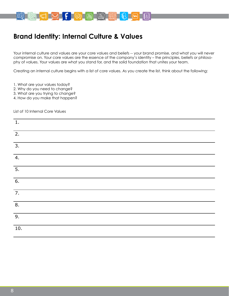

### **Brand Identity: Internal Culture & Values**

Your internal culture and values are your core values and beliefs -- your brand promise, and what you will never compromise on. Your core values are the essence of the company's identity – the principles, beliefs or philosophy of values. Your values are what you stand for, and the solid foundation that unites your team.

Creating an internal culture begins with a list of core values. As you create the list, think about the following:

- 1. What are your values today?
- 2. Why do you need to change?
- 3. What are you trying to change?
- 4. How do you make that happen?

List of 10 Internal Core Values

| $1.$             |  |
|------------------|--|
| $\overline{2}$ . |  |
| $\overline{3}$ . |  |
| $\overline{4.}$  |  |
| $\overline{5}$ . |  |
| $\overline{6}$ . |  |
| $\overline{7}$ . |  |
| $\overline{8}$ . |  |
| $\overline{9}$ . |  |
| 10.              |  |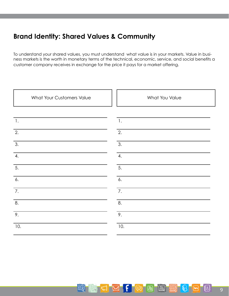### **Brand Identity: Shared Values & Community**

들키

To understand your shared values, you must understand what value is in your markets. Value in business markets is the worth in monetary terms of the technical, economic, service, and social benefits a customer company receives in exchange for the price it pays for a market offering.

| What Your Customers Value | What You Value |
|---------------------------|----------------|
|                           |                |
| $\mathbf{1}$ .            | $\mathbf{1}$ . |
| 2.                        | 2.             |
| 3.                        | 3.             |
| 4.                        | 4.             |
| 5.                        | 5.             |
| 6.                        | 6.             |
| 7.                        | 7.             |
| 8.                        | 8.             |
| 9.                        | 9.             |
| 10.                       | 10.            |
|                           |                |

**MFRADE** 

≹&}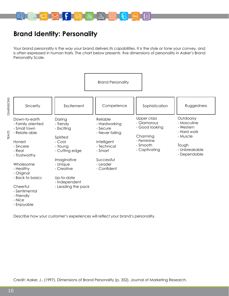

### **Brand Identity: Personality**

Your brand personality is the way your brand delivers its capabilities. It is the style or tone your convey, and is often expressed in human traits. The chart below presents five dimensions of personality in Aaker's Brand Personality Scale.



Describe how your customer's experiences will reflect your brand's personality.

Credit: Aaker, J., (1997). Dimensions of Brand Personality (p. 352), Journal of Marketing Research.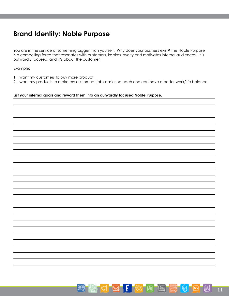### **Brand Identity: Noble Purpose**

You are in the service of something bigger than yourself. Why does your business exist? The Noble Purpose is a compelling force that resonates with customers, inspires loyalty and motivates internal audiences. It is outwardly focused, and it's about the customer.

### Example:

1. I want my customers to buy more product.

2. I want my products to make my customers' jobs easier, so each one can have a better work/life balance.

### **List your internal goals and reword them into an outwardly focused Noble Purpose.**

**CMFR**  $\begin{bmatrix} \frac{1}{2} & \cdots & \frac{1}{2} \\ \cdots & \cdots & \cdots \end{bmatrix}$ နြ 트引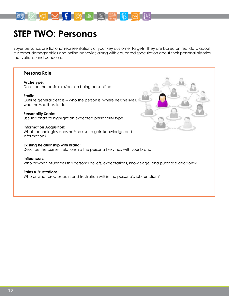

## **STEP TWO: Personas**

Buyer personas are fictional representations of your key customer targets. They are based on real data about customer demographics and online behavior, along with educated speculation about their personal histories, motivations, and concerns.

### **Persona Role**

### **Archetype:**

Describe the basic role/person being personified.

### **Profile:**

Outline general details -- who the person is, where he/she lives, what he/she likes to do.

### **Personality Scale:**

Use this chart to highlight an expected personality type.

### **Information Acqusition:**

What technologies does he/she use to gain knowledge and information?

### **Existing Relationship with Brand:**

Describe the current relationship the persona likely has with your brand.

#### **Influencers:**

Who or what influences this person's beliefs, expectations, knowledge, and purchase decisions?

### **Pains & Frustrations:**

Who or what creates pain and frustration within the persona's job function?

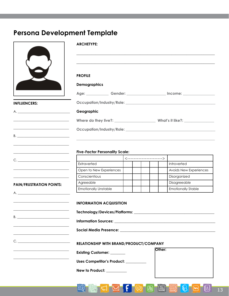### **Persona Development Template**

|                                                                                                                                                                                                                                                                                                                                                            | <b>ARCHETYPE:</b>                     |  |                                                                        |                                                                                  |
|------------------------------------------------------------------------------------------------------------------------------------------------------------------------------------------------------------------------------------------------------------------------------------------------------------------------------------------------------------|---------------------------------------|--|------------------------------------------------------------------------|----------------------------------------------------------------------------------|
|                                                                                                                                                                                                                                                                                                                                                            | <b>PROFILE</b>                        |  |                                                                        |                                                                                  |
|                                                                                                                                                                                                                                                                                                                                                            | <b>Demographics</b>                   |  |                                                                        |                                                                                  |
|                                                                                                                                                                                                                                                                                                                                                            |                                       |  |                                                                        | Age: ______________Gender: _______________________ Income: _____________________ |
| <b>INFLUENCERS:</b>                                                                                                                                                                                                                                                                                                                                        |                                       |  |                                                                        |                                                                                  |
| A.                                                                                                                                                                                                                                                                                                                                                         | Geographic                            |  |                                                                        |                                                                                  |
|                                                                                                                                                                                                                                                                                                                                                            |                                       |  |                                                                        |                                                                                  |
| <u> 1989 - Jan Sterlinger, skriuwer yn it Sterlinger yn it Sterlinger yn it Sterlinger yn it Sterlinger yn it Sterl</u>                                                                                                                                                                                                                                    |                                       |  |                                                                        |                                                                                  |
| $B. \begin{tabular}{ c c c c } \hline \rule{0.3cm}{.03cm} \rule{0.3cm}{.03cm} \rule{0.3cm}{.03cm} \rule{0.3cm}{.03cm} \rule{0.3cm}{.03cm} \rule{0.3cm}{.03cm} \rule{0.3cm}{.03cm} \rule{0.3cm}{.03cm} \rule{0.3cm}{.03cm} \rule{0.3cm}{.03cm} \rule{0.3cm}{.03cm} \rule{0.3cm}{.03cm} \rule{0.3cm}{.03cm} \rule{0.3cm}{.03cm} \rule{0.3cm}{.03cm} \rule{0$ |                                       |  |                                                                        |                                                                                  |
| <u> 1989 - Johann Barbara, martxa alemaniar arg</u>                                                                                                                                                                                                                                                                                                        |                                       |  |                                                                        |                                                                                  |
| <u> Alexandria de la contrada de la contrada de la contrada de la contrada de la contrada de la contrada de la c</u>                                                                                                                                                                                                                                       | <b>Five-Factor Personality Scale:</b> |  |                                                                        |                                                                                  |
|                                                                                                                                                                                                                                                                                                                                                            |                                       |  | $\left\langle \cdots \cdots \cdots \cdots \cdots \cdots \right\rangle$ |                                                                                  |
|                                                                                                                                                                                                                                                                                                                                                            | Extraverted                           |  |                                                                        | Introverted                                                                      |
|                                                                                                                                                                                                                                                                                                                                                            | Open to New Experiences               |  |                                                                        | Avoids New Experiences                                                           |
|                                                                                                                                                                                                                                                                                                                                                            | Conscientious                         |  |                                                                        | Disorganized                                                                     |

#### **PAIN/FRUSTRATION POINTS:**

\_\_\_\_\_\_\_\_\_\_\_\_\_\_\_\_\_\_\_\_\_\_\_\_\_\_\_\_\_\_\_\_\_

\_\_\_\_\_\_\_\_\_\_\_\_\_\_\_\_\_\_\_\_\_\_\_\_\_\_\_\_\_\_\_\_\_

\_\_\_\_\_\_\_\_\_\_\_\_\_\_\_\_\_\_\_\_\_\_\_\_\_\_\_\_\_\_\_\_\_

\_\_\_\_\_\_\_\_\_\_\_\_\_\_\_\_\_\_\_\_\_\_\_\_\_\_\_\_\_\_\_\_\_

A. \_\_\_\_\_\_\_\_\_\_\_\_\_\_\_\_\_\_\_\_\_\_\_\_\_\_\_\_\_\_\_

B. \_\_\_\_\_\_\_\_\_\_\_\_\_\_\_\_\_\_\_\_\_\_\_\_\_\_\_\_\_\_\_

C. \_\_\_\_\_\_\_\_\_\_\_\_\_\_\_\_\_\_\_\_\_\_\_\_\_\_\_\_\_\_\_

**Technology/Devices/Platforms: \_\_\_\_\_\_\_\_\_\_\_\_\_\_\_\_\_\_\_\_\_\_\_\_\_\_\_\_\_\_\_\_\_\_\_\_\_\_\_\_\_\_\_**

**Information Sources: \_\_\_\_\_\_\_\_\_\_\_\_\_\_\_\_\_\_\_\_\_\_\_\_\_\_\_\_\_\_\_\_\_\_\_\_\_\_\_\_\_\_\_\_\_\_\_\_\_\_\_\_\_\_**

**Social Media Presence: \_\_\_\_\_\_\_\_\_\_\_\_\_\_\_\_\_\_\_\_\_\_\_\_\_\_\_\_\_\_\_\_\_\_\_\_\_\_\_\_\_\_\_\_\_\_\_\_\_\_\_**

#### **RELATIONSHIP WITH BRAND/PRODUCT/COMPANY**

**Existing Customer: \_\_\_\_\_\_\_\_ Uses Competitor's Product: \_\_\_\_\_\_\_\_\_\_\_ New to Product: \_\_\_\_\_\_\_\_\_\_\_** \_\_\_\_\_\_\_\_\_\_\_\_\_\_\_\_\_\_\_\_\_\_\_\_\_\_\_\_\_\_\_\_\_ \_\_\_\_\_\_\_\_\_\_\_\_\_\_\_\_\_\_\_\_\_\_\_\_\_\_\_\_\_\_\_\_\_ **Other:**

Agreeable | | | | | Disagreeable Emotionally Unstable Emotionally Stable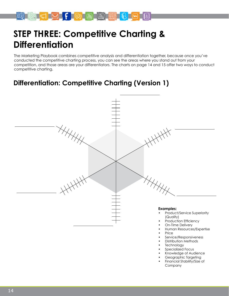

## **STEP THREE: Competitive Charting & Differentiation**

The Marketing Playbook combines competitive analysis and differentiation together, because once you've conducted the competitive charting process, you can see the areas where you stand out from your competition, and those areas are your differentiators. The charts on page 14 and 15 offer two ways to conduct competitive charting.

### **Differentiation: Competitive Charting (Version 1)**



- Knowledge of Audience
- Geographic Targeting
- Financial Stability/Size of Company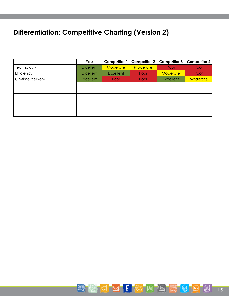## **Differentiation: Competitive Charting (Version 2)**

|                  | You              | <b>Competitor 1</b> | <b>Competitor 2</b> | <b>Competitor 3</b> | <b>Competitor 4</b> |
|------------------|------------------|---------------------|---------------------|---------------------|---------------------|
| Technology       | <b>Excellent</b> | Moderate            | <b>Moderate</b>     | Poor                | Poor                |
| Efficiency       | <b>Excellent</b> | <b>Excellent</b>    | Poor                | <b>Moderate</b>     | Poor                |
| On-time delivery | <b>Excellent</b> | Poor                | Poor                | Excellent           | Moderate            |
|                  |                  |                     |                     |                     |                     |
|                  |                  |                     |                     |                     |                     |
|                  |                  |                     |                     |                     |                     |
|                  |                  |                     |                     |                     |                     |
|                  |                  |                     |                     |                     |                     |
|                  |                  |                     |                     |                     |                     |

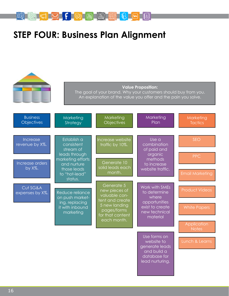

## **STEP FOUR: Business Plan Alignment**

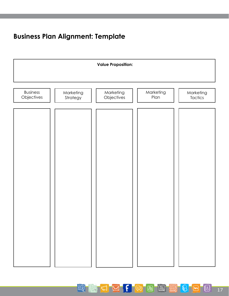### **Business Plan Alignment: Template**



国

18

**E** 

 $\ell$ 

⊺վտ

 $\blacksquare$ 

 $F \approx$ 

 $\mathbb{M}$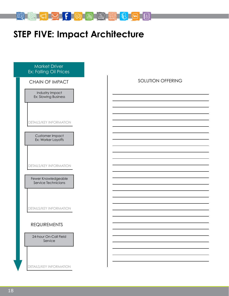

## **STEP FIVE: Impact Architecture**

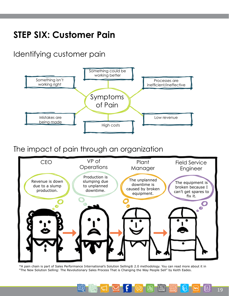# **STEP SIX: Customer Pain**

Identifying customer pain



The impact of pain through an organization



\*A pain chain is part of Sales Performance International's Solution Selling® 2.0 methodology. You can read more about it in "The New Solution Selling: The Revolutionary Sales Process That is Changing the Way People Sell" by Keith Eades.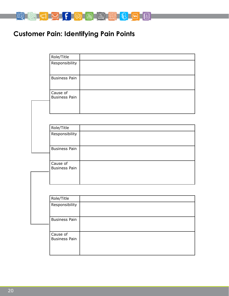

## **Customer Pain: Identifying Pain Points**

| Role/Title                       |                      |
|----------------------------------|----------------------|
| Responsibility                   |                      |
| <b>Business Pain</b>             |                      |
| Cause of                         |                      |
|                                  |                      |
|                                  |                      |
| Role/Title                       |                      |
| Responsibility                   |                      |
| <b>Business Pain</b>             |                      |
| Cause of<br><b>Business Pain</b> |                      |
|                                  |                      |
|                                  |                      |
| Role/Title                       |                      |
| Responsibility                   |                      |
| <b>Business Pain</b>             |                      |
| Cause of<br><b>Business Pain</b> |                      |
|                                  | <b>Business Pain</b> |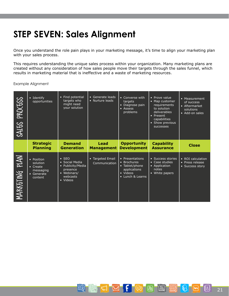## **STEP SEVEN: Sales Alignment**

Once you understand the role pain plays in your marketing message, it's time to align your marketing plan with your sales process.

This requires understanding the unique sales process within your organization. Many marketing plans are created without any consideration of how sales people move their targets through the sales funnel, which results in marketing material that is ineffective and a waste of marketing resources.

Example Alignment

| PROCESS<br>SALES | • Identify<br>opportunities                                              | • Find potential<br>targets who<br>might need<br>your solution                                        | • Generate leads<br>• Nurture leads                 | • Converse with<br>targets<br>· Diagnose pain<br>• Assess<br>problems                            | • Prove value<br>• Map customer<br>requirements<br>to solution<br>deliverables<br>• Present<br>capabilities<br>• Show previous<br>successes | • Measurement<br>of success<br>• Aftermarket<br>solutions<br>• Add-on sales |
|------------------|--------------------------------------------------------------------------|-------------------------------------------------------------------------------------------------------|-----------------------------------------------------|--------------------------------------------------------------------------------------------------|---------------------------------------------------------------------------------------------------------------------------------------------|-----------------------------------------------------------------------------|
|                  | <b>Strategic</b><br><b>Planning</b>                                      | <b>Demand</b><br><b>Generation</b>                                                                    | <b>Lead</b><br><b>Management</b>                    | <b>Opportunity</b><br><b>Development</b>                                                         | <b>Capability</b><br><b>Assurance</b>                                                                                                       | <b>Close</b>                                                                |
| MARKFTING PLAN   | • Position<br>solution<br>• Create<br>messaging<br>• Generate<br>content | $\cdot$ SEO<br>• Social Media<br>• Publicity/Media<br>presence<br>• Webinars/<br>webcasts<br>• Videos | <b>Targeted Email</b><br>$\bullet$<br>Communication | • Presentations<br>• Brochures<br>• Tablet/phone<br>applications<br>• Videos<br>• Lunch & Learns | • Success stories<br>• Case studies<br>• Application<br>notes<br>• White papers                                                             | • ROI calculation<br>• Press release<br>• Success story                     |

 $\begin{picture}(150,10) \put(0,0){\line(1,0){10}} \put(15,0){\line(1,0){10}} \put(15,0){\line(1,0){10}} \put(15,0){\line(1,0){10}} \put(15,0){\line(1,0){10}} \put(15,0){\line(1,0){10}} \put(15,0){\line(1,0){10}} \put(15,0){\line(1,0){10}} \put(15,0){\line(1,0){10}} \put(15,0){\line(1,0){10}} \put(15,0){\line(1,0){10}} \put(15,0){\line($ 

lò (

 $\varnothing$ 

특히

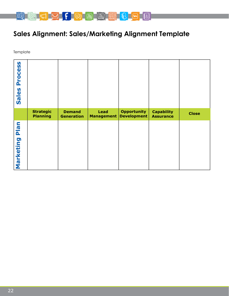

## **Sales Alignment: Sales/Marketing Alignment Template**

**Template** 

| <b>Process</b><br>Sales     |                                     |                                    |                    |                                          |                                       |              |
|-----------------------------|-------------------------------------|------------------------------------|--------------------|------------------------------------------|---------------------------------------|--------------|
|                             | <b>Strategic</b><br><b>Planning</b> | <b>Demand</b><br><b>Generation</b> | Lead<br>Management | <b>Opportunity</b><br><b>Development</b> | <b>Capability</b><br><b>Assurance</b> | <b>Close</b> |
| <b>n</b><br>an<br>Marketing |                                     |                                    |                    |                                          |                                       |              |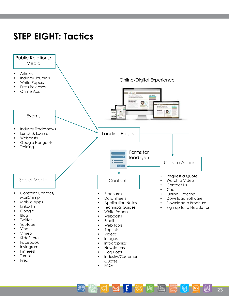## **STEP EIGHT: Tactics**



 $F \mathbb{R}$ 

트링

圖

(a)

|8| 23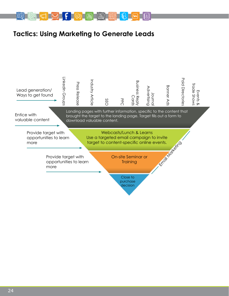

### **Tactics: Using Marketing to Generate Leads**

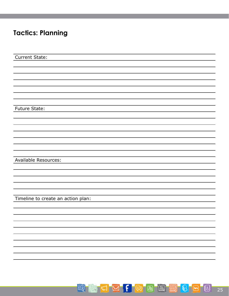## **Tactics: Planning**

Current State: Future State: Available Resources: Timeline to create an action plan:

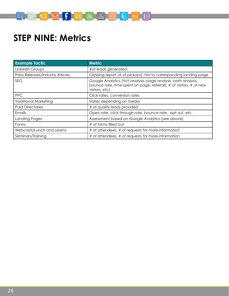

## **STEP NINE: Metrics**

| <b>Example Tactic</b>            | <b>Metric</b>                                                                                                                                          |
|----------------------------------|--------------------------------------------------------------------------------------------------------------------------------------------------------|
| LinkedIn Groups                  | #of leads generated                                                                                                                                    |
| Press Releases/Industry Articles | Clipping report (# of pickups), hits to corresponding landing page                                                                                     |
| SEO                              | Google Analytics (YoY analysis, page analysis, path analysis,<br>bounce rate, time spent on page, referrals, # of visitors, # of new<br>visitors, etc) |
| <b>PPC</b>                       | Click rates, conversion rates                                                                                                                          |
| <b>Traditional Marketing</b>     | Varies depending on media                                                                                                                              |
| <b>Paid Directories</b>          | # of quality leads provided                                                                                                                            |
| Emails                           | Open rate, click through rate, bounce rate, opt out, etc.                                                                                              |
| <b>Landing Pages</b>             | Assessment based on Google Analytics (see above)                                                                                                       |
| Forms                            | # of forms filled out                                                                                                                                  |
| Webcasts/Lunch and Learns        | # of attendees, # of requests for more information                                                                                                     |
| Seminars/Training                | # of attendees, # of requests for more information                                                                                                     |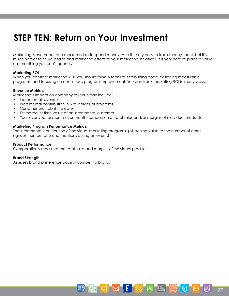## **STEP TEN: Return on Your Investment**

Marketing is overhead, and marketers like to spend money. And it's very easy to track money spent, but it's much harder to tie your sales and marketing efforts to your marketing initiatives. It is very hard to place a value on something you can't quantify.

### **Marketing ROI**

When you consider marketing ROI, you should think in terms of establshing goals, designing measurable programs, and focusing on continuous program improvement. You can track marketing ROI in many ways.

### **Revenue Metrics:**

Marketing's impact on company revenue can include:

- Incremental revenue
- Incremental contribution in \$ of individual programs
- Customer profitability to date
- Estimated lifetime value of an incremental customer
- Year-over-year or month-over-month comparison of total sales and/or margins of individual products.

### **Marketing Program Performance Metrics:**

The incremental contribution of individual marketing programs. (Attaching value to the number of email signups, number of brand mentions during an event.)

### **Product Performance:**

Comparatively measures the total sales and margins of individual products

#### **Brand Strength:**

Assesses brand preference against competing brands